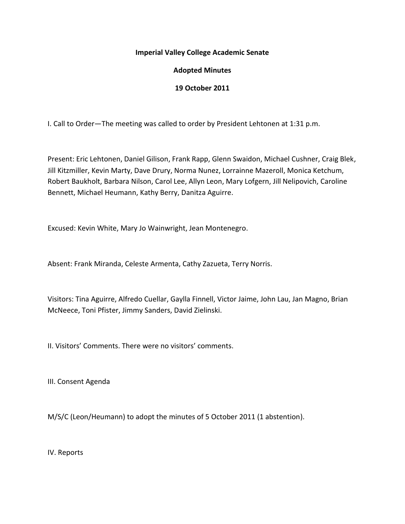#### **Imperial Valley College Academic Senate**

### **Adopted Minutes**

### **19 October 2011**

I. Call to Order—The meeting was called to order by President Lehtonen at 1:31 p.m.

Present: Eric Lehtonen, Daniel Gilison, Frank Rapp, Glenn Swaidon, Michael Cushner, Craig Blek, Jill Kitzmiller, Kevin Marty, Dave Drury, Norma Nunez, Lorrainne Mazeroll, Monica Ketchum, Robert Baukholt, Barbara Nilson, Carol Lee, Allyn Leon, Mary Lofgern, Jill Nelipovich, Caroline Bennett, Michael Heumann, Kathy Berry, Danitza Aguirre.

Excused: Kevin White, Mary Jo Wainwright, Jean Montenegro.

Absent: Frank Miranda, Celeste Armenta, Cathy Zazueta, Terry Norris.

Visitors: Tina Aguirre, Alfredo Cuellar, Gaylla Finnell, Victor Jaime, John Lau, Jan Magno, Brian McNeece, Toni Pfister, Jimmy Sanders, David Zielinski.

II. Visitors' Comments. There were no visitors' comments.

III. Consent Agenda

M/S/C (Leon/Heumann) to adopt the minutes of 5 October 2011 (1 abstention).

IV. Reports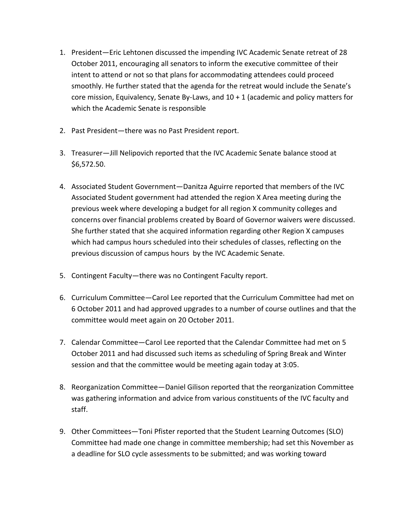- 1. President—Eric Lehtonen discussed the impending IVC Academic Senate retreat of 28 October 2011, encouraging all senators to inform the executive committee of their intent to attend or not so that plans for accommodating attendees could proceed smoothly. He further stated that the agenda for the retreat would include the Senate's core mission, Equivalency, Senate By-Laws, and  $10 + 1$  (academic and policy matters for which the Academic Senate is responsible
- 2. Past President—there was no Past President report.
- 3. Treasurer—Jill Nelipovich reported that the IVC Academic Senate balance stood at \$6,572.50.
- 4. Associated Student Government—Danitza Aguirre reported that members of the IVC Associated Student government had attended the region X Area meeting during the previous week where developing a budget for all region X community colleges and concerns over financial problems created by Board of Governor waivers were discussed. She further stated that she acquired information regarding other Region X campuses which had campus hours scheduled into their schedules of classes, reflecting on the previous discussion of campus hours by the IVC Academic Senate.
- 5. Contingent Faculty—there was no Contingent Faculty report.
- 6. Curriculum Committee—Carol Lee reported that the Curriculum Committee had met on 6 October 2011 and had approved upgrades to a number of course outlines and that the committee would meet again on 20 October 2011.
- 7. Calendar Committee—Carol Lee reported that the Calendar Committee had met on 5 October 2011 and had discussed such items as scheduling of Spring Break and Winter session and that the committee would be meeting again today at 3:05.
- 8. Reorganization Committee—Daniel Gilison reported that the reorganization Committee was gathering information and advice from various constituents of the IVC faculty and staff.
- 9. Other Committees—Toni Pfister reported that the Student Learning Outcomes (SLO) Committee had made one change in committee membership; had set this November as a deadline for SLO cycle assessments to be submitted; and was working toward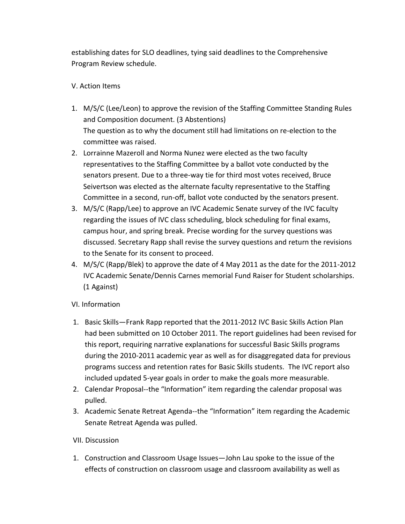establishing dates for SLO deadlines, tying said deadlines to the Comprehensive Program Review schedule.

# V. Action Items

- 1. M/S/C (Lee/Leon) to approve the revision of the Staffing Committee Standing Rules and Composition document. (3 Abstentions) The question as to why the document still had limitations on re-election to the committee was raised.
- 2. Lorrainne Mazeroll and Norma Nunez were elected as the two faculty representatives to the Staffing Committee by a ballot vote conducted by the senators present. Due to a three-way tie for third most votes received, Bruce Seivertson was elected as the alternate faculty representative to the Staffing Committee in a second, run-off, ballot vote conducted by the senators present.
- 3. M/S/C (Rapp/Lee) to approve an IVC Academic Senate survey of the IVC faculty regarding the issues of IVC class scheduling, block scheduling for final exams, campus hour, and spring break. Precise wording for the survey questions was discussed. Secretary Rapp shall revise the survey questions and return the revisions to the Senate for its consent to proceed.
- 4. M/S/C (Rapp/Blek) to approve the date of 4 May 2011 as the date for the 2011-2012 IVC Academic Senate/Dennis Carnes memorial Fund Raiser for Student scholarships. (1 Against)

# VI. Information

- 1. Basic Skills—Frank Rapp reported that the 2011-2012 IVC Basic Skills Action Plan had been submitted on 10 October 2011. The report guidelines had been revised for this report, requiring narrative explanations for successful Basic Skills programs during the 2010-2011 academic year as well as for disaggregated data for previous programs success and retention rates for Basic Skills students. The IVC report also included updated 5-year goals in order to make the goals more measurable.
- 2. Calendar Proposal--the "Information" item regarding the calendar proposal was pulled.
- 3. Academic Senate Retreat Agenda--the "Information" item regarding the Academic Senate Retreat Agenda was pulled.

## VII. Discussion

1. Construction and Classroom Usage Issues—John Lau spoke to the issue of the effects of construction on classroom usage and classroom availability as well as